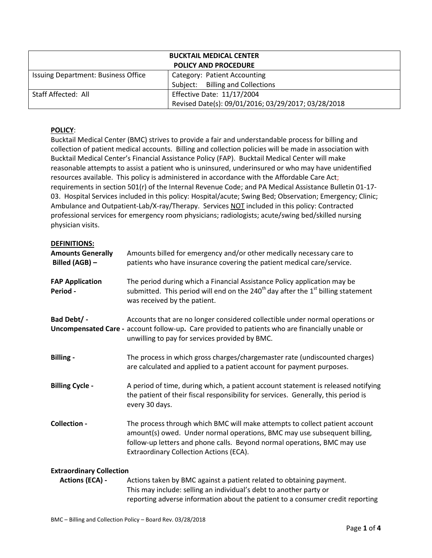| <b>BUCKTAIL MEDICAL CENTER</b><br><b>POLICY AND PROCEDURE</b> |                                                     |  |
|---------------------------------------------------------------|-----------------------------------------------------|--|
|                                                               |                                                     |  |
| Issuing Department: Business Office                           | Category: Patient Accounting                        |  |
|                                                               | Subject: Billing and Collections                    |  |
| Staff Affected: All                                           | <b>Effective Date: 11/17/2004</b>                   |  |
|                                                               | Revised Date(s): 09/01/2016; 03/29/2017; 03/28/2018 |  |

# **POLICY**:

Bucktail Medical Center (BMC) strives to provide a fair and understandable process for billing and collection of patient medical accounts. Billing and collection policies will be made in association with Bucktail Medical Center's Financial Assistance Policy (FAP). Bucktail Medical Center will make reasonable attempts to assist a patient who is uninsured, underinsured or who may have unidentified resources available. This policy is administered in accordance with the Affordable Care Act; requirements in section 501(r) of the Internal Revenue Code; and PA Medical Assistance Bulletin 01-17- 03. Hospital Services included in this policy: Hospital/acute; Swing Bed; Observation; Emergency; Clinic; Ambulance and Outpatient-Lab/X-ray/Therapy. Services NOT included in this policy: Contracted professional services for emergency room physicians; radiologists; acute/swing bed/skilled nursing physician visits.

## **DEFINITIONS:**

| <b>Amounts Generally</b><br>Billed (AGB) -                | Amounts billed for emergency and/or other medically necessary care to<br>patients who have insurance covering the patient medical care/service.                                                                                                                                |
|-----------------------------------------------------------|--------------------------------------------------------------------------------------------------------------------------------------------------------------------------------------------------------------------------------------------------------------------------------|
| <b>FAP Application</b><br>Period -                        | The period during which a Financial Assistance Policy application may be<br>submitted. This period will end on the 240 <sup>th</sup> day after the $1st$ billing statement<br>was received by the patient.                                                                     |
| Bad Debt/ -                                               | Accounts that are no longer considered collectible under normal operations or<br>Uncompensated Care - account follow-up. Care provided to patients who are financially unable or<br>unwilling to pay for services provided by BMC.                                             |
| <b>Billing -</b>                                          | The process in which gross charges/chargemaster rate (undiscounted charges)<br>are calculated and applied to a patient account for payment purposes.                                                                                                                           |
| <b>Billing Cycle -</b>                                    | A period of time, during which, a patient account statement is released notifying<br>the patient of their fiscal responsibility for services. Generally, this period is<br>every 30 days.                                                                                      |
| Collection -                                              | The process through which BMC will make attempts to collect patient account<br>amount(s) owed. Under normal operations, BMC may use subsequent billing,<br>follow-up letters and phone calls. Beyond normal operations, BMC may use<br>Extraordinary Collection Actions (ECA). |
| <b>Extraordinary Collection</b><br><b>Actions (ECA) -</b> | Actions taken by BMC against a patient related to obtaining payment.                                                                                                                                                                                                           |
|                                                           |                                                                                                                                                                                                                                                                                |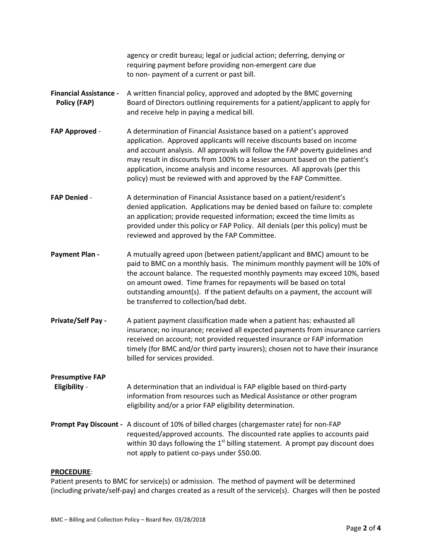|                                                      | agency or credit bureau; legal or judicial action; deferring, denying or<br>requiring payment before providing non-emergent care due<br>to non- payment of a current or past bill.                                                                                                                                                                                                                                                                                  |
|------------------------------------------------------|---------------------------------------------------------------------------------------------------------------------------------------------------------------------------------------------------------------------------------------------------------------------------------------------------------------------------------------------------------------------------------------------------------------------------------------------------------------------|
| <b>Financial Assistance -</b><br><b>Policy (FAP)</b> | A written financial policy, approved and adopted by the BMC governing<br>Board of Directors outlining requirements for a patient/applicant to apply for<br>and receive help in paying a medical bill.                                                                                                                                                                                                                                                               |
| <b>FAP Approved -</b>                                | A determination of Financial Assistance based on a patient's approved<br>application. Approved applicants will receive discounts based on income<br>and account analysis. All approvals will follow the FAP poverty guidelines and<br>may result in discounts from 100% to a lesser amount based on the patient's<br>application, income analysis and income resources. All approvals (per this<br>policy) must be reviewed with and approved by the FAP Committee. |
| <b>FAP Denied -</b>                                  | A determination of Financial Assistance based on a patient/resident's<br>denied application. Applications may be denied based on failure to: complete<br>an application; provide requested information; exceed the time limits as<br>provided under this policy or FAP Policy. All denials (per this policy) must be<br>reviewed and approved by the FAP Committee.                                                                                                 |
| <b>Payment Plan -</b>                                | A mutually agreed upon (between patient/applicant and BMC) amount to be<br>paid to BMC on a monthly basis. The minimum monthly payment will be 10% of<br>the account balance. The requested monthly payments may exceed 10%, based<br>on amount owed. Time frames for repayments will be based on total<br>outstanding amount(s). If the patient defaults on a payment, the account will<br>be transferred to collection/bad debt.                                  |
| <b>Private/Self Pay -</b>                            | A patient payment classification made when a patient has: exhausted all<br>insurance; no insurance; received all expected payments from insurance carriers<br>received on account; not provided requested insurance or FAP information<br>timely (for BMC and/or third party insurers); chosen not to have their insurance<br>billed for services provided.                                                                                                         |
| <b>Presumptive FAP</b><br>Eligibility -              | A determination that an individual is FAP eligible based on third-party<br>information from resources such as Medical Assistance or other program<br>eligibility and/or a prior FAP eligibility determination.                                                                                                                                                                                                                                                      |
|                                                      | Prompt Pay Discount - A discount of 10% of billed charges (chargemaster rate) for non-FAP<br>requested/approved accounts. The discounted rate applies to accounts paid<br>within 30 days following the $1st$ billing statement. A prompt pay discount does<br>not apply to patient co-pays under \$50.00.                                                                                                                                                           |

# **PROCEDURE**:

Patient presents to BMC for service(s) or admission. The method of payment will be determined (including private/self-pay) and charges created as a result of the service(s). Charges will then be posted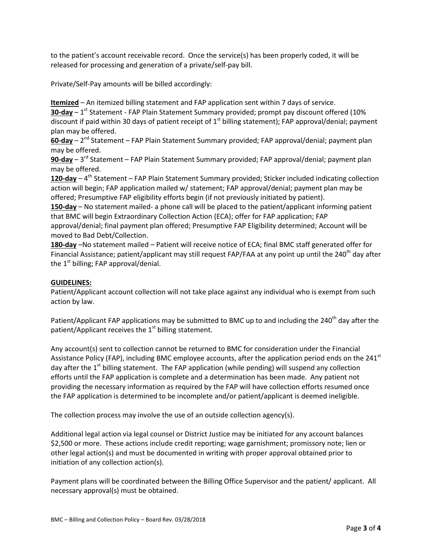to the patient's account receivable record. Once the service(s) has been properly coded, it will be released for processing and generation of a private/self-pay bill.

Private/Self-Pay amounts will be billed accordingly:

**Itemized** – An itemized billing statement and FAP application sent within 7 days of service.

**30-day** – 1<sup>st</sup> Statement - FAP Plain Statement Summary provided; prompt pay discount offered (10% discount if paid within 30 days of patient receipt of  $1<sup>st</sup>$  billing statement); FAP approval/denial; payment plan may be offered.

**60-day** – 2<sup>nd</sup> Statement – FAP Plain Statement Summary provided; FAP approval/denial; payment plan may be offered.

**90-day** – 3 rd Statement – FAP Plain Statement Summary provided; FAP approval/denial; payment plan may be offered.

**120-day** – 4 th Statement – FAP Plain Statement Summary provided; Sticker included indicating collection action will begin; FAP application mailed w/ statement; FAP approval/denial; payment plan may be offered; Presumptive FAP eligibility efforts begin (if not previously initiated by patient).

**150-day** – No statement mailed- a phone call will be placed to the patient/applicant informing patient that BMC will begin Extraordinary Collection Action (ECA); offer for FAP application; FAP

approval/denial; final payment plan offered; Presumptive FAP Eligibility determined; Account will be moved to Bad Debt/Collection.

**180-day** –No statement mailed – Patient will receive notice of ECA; final BMC staff generated offer for Financial Assistance; patient/applicant may still request FAP/FAA at any point up until the 240<sup>th</sup> day after the  $1<sup>st</sup>$  billing; FAP approval/denial.

# **GUIDELINES:**

Patient/Applicant account collection will not take place against any individual who is exempt from such action by law.

Patient/Applicant FAP applications may be submitted to BMC up to and including the 240<sup>th</sup> day after the patient/Applicant receives the  $1<sup>st</sup>$  billing statement.

Any account(s) sent to collection cannot be returned to BMC for consideration under the Financial Assistance Policy (FAP), including BMC employee accounts, after the application period ends on the  $241<sup>st</sup>$ day after the  $1<sup>st</sup>$  billing statement. The FAP application (while pending) will suspend any collection efforts until the FAP application is complete and a determination has been made. Any patient not providing the necessary information as required by the FAP will have collection efforts resumed once the FAP application is determined to be incomplete and/or patient/applicant is deemed ineligible.

The collection process may involve the use of an outside collection agency(s).

Additional legal action via legal counsel or District Justice may be initiated for any account balances \$2,500 or more. These actions include credit reporting; wage garnishment; promissory note; lien or other legal action(s) and must be documented in writing with proper approval obtained prior to initiation of any collection action(s).

Payment plans will be coordinated between the Billing Office Supervisor and the patient/ applicant. All necessary approval(s) must be obtained.